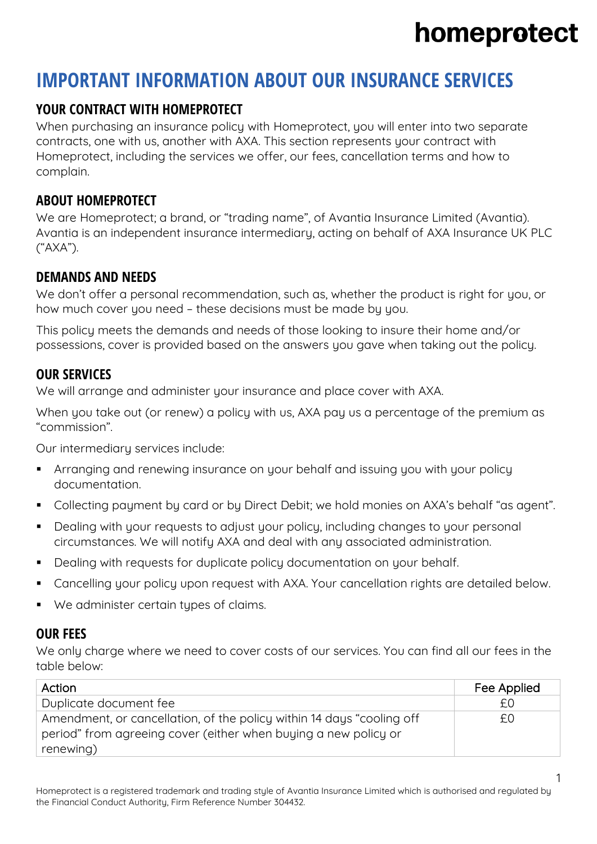# homeprotect

# **IMPORTANT INFORMATION ABOUT OUR INSURANCE SERVICES**

# **YOUR CONTRACT WITH HOMEPROTECT**

When purchasing an insurance policy with Homeprotect, you will enter into two separate contracts, one with us, another with AXA. This section represents your contract with Homeprotect, including the services we offer, our fees, cancellation terms and how to complain.

# **ABOUT HOMEPROTECT**

We are Homeprotect; a brand, or "trading name", of Avantia Insurance Limited (Avantia). Avantia is an independent insurance intermediary, acting on behalf of AXA Insurance UK PLC ("AXA").

# **DEMANDS AND NEEDS**

We don't offer a personal recommendation, such as, whether the product is right for you, or how much cover you need – these decisions must be made by you.

This policy meets the demands and needs of those looking to insure their home and/or possessions, cover is provided based on the answers you gave when taking out the policy.

# **OUR SERVICES**

We will arrange and administer your insurance and place cover with AXA.

When you take out (or renew) a policy with us, AXA pay us a percentage of the premium as "commission".

Our intermediary services include:

- Arranging and renewing insurance on your behalf and issuing you with your policy documentation.
- Collecting payment by card or by Direct Debit; we hold monies on AXA's behalf "as agent".
- Dealing with your requests to adjust your policy, including changes to your personal circumstances. We will notify AXA and deal with any associated administration.
- Dealing with requests for duplicate policy documentation on your behalf.
- Cancelling your policy upon request with AXA. Your cancellation rights are detailed below.
- We administer certain tupes of claims.

# **OUR FEES**

We only charge where we need to cover costs of our services. You can find all our fees in the table below:

| Action                                                                | Fee Applied |
|-----------------------------------------------------------------------|-------------|
| Duplicate document fee                                                |             |
| Amendment, or cancellation, of the policy within 14 days "cooling off | £Ο          |
| period" from agreeing cover (either when buying a new policy or       |             |
| renewing)                                                             |             |

1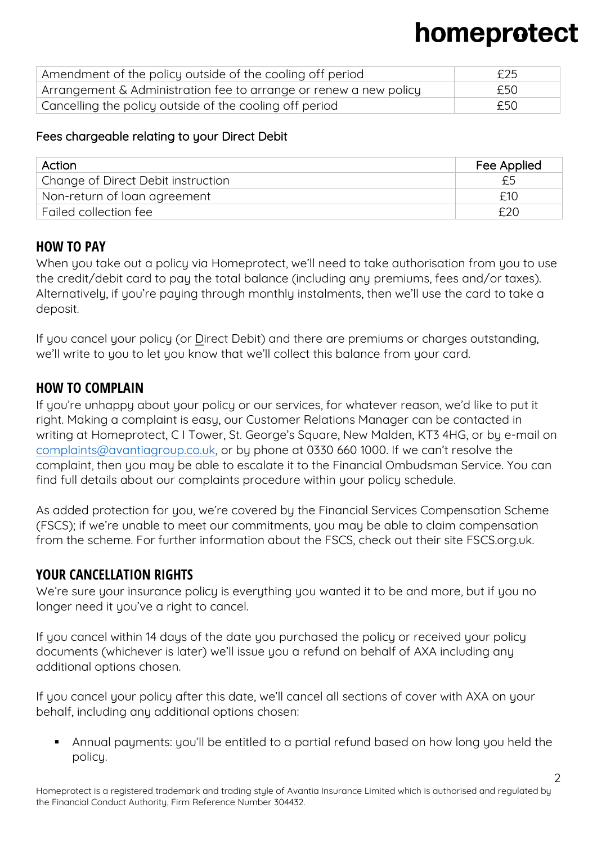# homeprotect

| Amendment of the policy outside of the cooling off period         | £25 |
|-------------------------------------------------------------------|-----|
| Arrangement & Administration fee to arrange or renew a new policy | £50 |
| Cancelling the policy outside of the cooling off period           | £50 |

#### Fees chargeable relating to your Direct Debit

| Action                             | Fee Applied |
|------------------------------------|-------------|
| Change of Direct Debit instruction |             |
| Non-return of loan agreement       | f10         |
| Failed collection fee              |             |

# **HOW TO PAY**

When you take out a policy via Homeprotect, we'll need to take authorisation from you to use the credit/debit card to pay the total balance (including any premiums, fees and/or taxes). Alternatively, if you're paying through monthly instalments, then we'll use the card to take a deposit.

If you cancel your policy (or Direct Debit) and there are premiums or charges outstanding. we'll write to you to let you know that we'll collect this balance from your card.

# **HOW TO COMPLAIN**

If you're unhappy about your policy or our services, for whatever reason, we'd like to put it right. Making a complaint is easy, our Customer Relations Manager can be contacted in writing at Homeprotect, C I Tower, St. George's Square, New Malden, KT3 4HG, or by e-mail on [complaints@avantiagroup.co.uk,](mailto:complaints@avantiagroup.co.uk) or by phone at 0330 660 1000. If we can't resolve the complaint, then you may be able to escalate it to the Financial Ombudsman Service. You can find full details about our complaints procedure within your policy schedule.

As added protection for you, we're covered by the Financial Services Compensation Scheme (FSCS); if we're unable to meet our commitments, you may be able to claim compensation from the scheme. For further information about the FSCS, check out their site FSCS.org.uk.

# **YOUR CANCELLATION RIGHTS**

We're sure your insurance policy is everything you wanted it to be and more, but if you no longer need it you've a right to cancel.

If you cancel within 14 days of the date you purchased the policy or received your policy documents (whichever is later) we'll issue you a refund on behalf of AXA including any additional options chosen.

If you cancel your policy after this date, we'll cancel all sections of cover with AXA on your behalf, including any additional options chosen:

▪ Annual payments: you'll be entitled to a partial refund based on how long you held the policy.